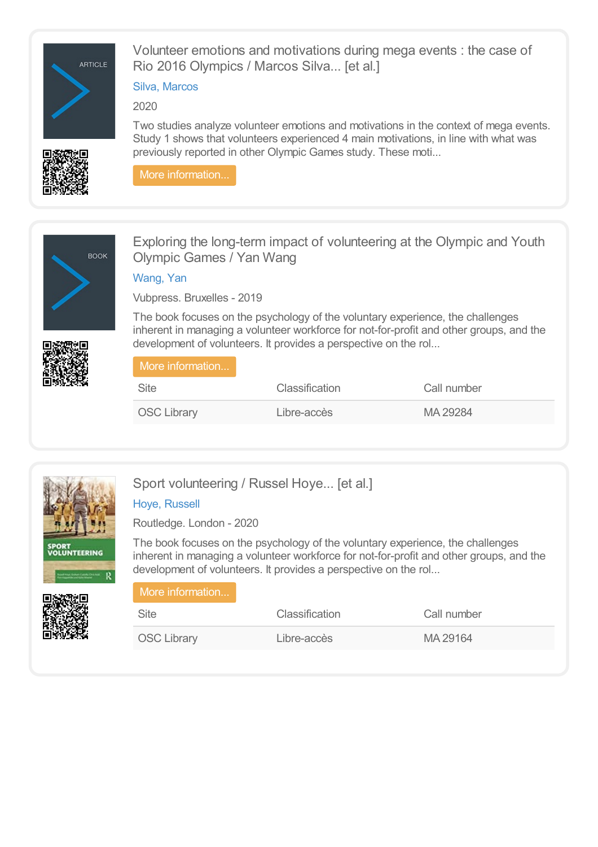

Volunteer emotions and motivations during mega events : the case of Rio 2016 Olympics / Marcos Silva... [et al.]

## Silva, [Marcos](https://library.olympics.com/Default/search.aspx?SC=DEFAULT&QUERY=Authority_id_idx%253a472056&QUERY_LABEL=Silva%252c+Marcos)

2020

Two studies analyze volunteer emotions and motivations in the context of mega events. Study 1 shows that volunteers experienced 4 main motivations, in line with what was previously reported in other Olympic Games study. These moti...

More [information...](https://library.olympics.com/Default/doc/SYRACUSE/472053/volunteer-emotions-and-motivations-during-mega-events-the-case-of-rio-2016-olympics-marcos-silva-et-)



Exploring the long-term impact of volunteering at the Olympic and Youth Olympic Games / Yan Wang

[Wang,](https://library.olympics.com/Default/search.aspx?SC=DEFAULT&QUERY=Authority_id_idx%253a185846&QUERY_LABEL=Wang%252c+Yan+) Yan

Vubpress. Bruxelles - 2019

The book focuses on the psychology of the voluntary experience, the challenges inherent in managing a volunteer workforce for not-for-profit and other groups, and the development of volunteers. It provides a perspective on the rol...

| 「More information」 |                       |             |  |
|--------------------|-----------------------|-------------|--|
| Site               | <b>Classification</b> | Call number |  |
| <b>OSC Library</b> | Libre-accès           | MA 29284    |  |



Sport volunteering / Russel Hoye... [et al.]

# Hoye, [Russell](https://library.olympics.com/Default/search.aspx?SC=DEFAULT&QUERY=Authority_id_idx%253a29308&QUERY_LABEL=Hoye%252c+Russell)

Routledge. London - 2020

The book focuses on the psychology of the voluntary experience, the challenges inherent in managing a volunteer workforce for not-for-profit and other groups, and the development of volunteers. It provides a perspective on the rol...

| More information   |                |             |
|--------------------|----------------|-------------|
| <b>Site</b>        | Classification | Call number |
| <b>OSC Library</b> | Libre-accès    | MA 29164    |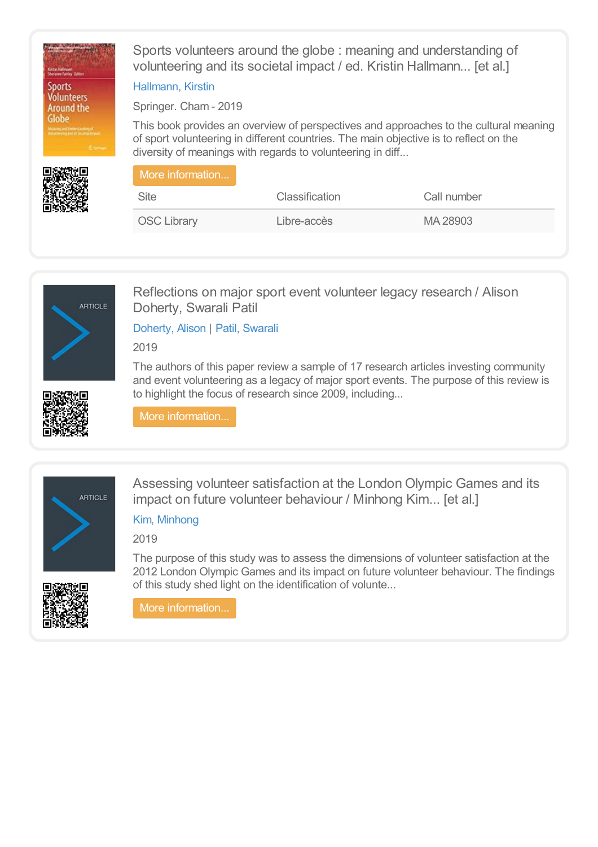

Sports volunteers around the globe : meaning and understanding of volunteering and its societal impact / ed. Kristin Hallmann... [et al.]

#### [Hallmann,](https://library.olympics.com/Default/search.aspx?SC=DEFAULT&QUERY=Authority_id_idx%253a174015&QUERY_LABEL=Hallmann%252c+Kirstin) Kirstin

Springer. Cham - 2019

This book provides an overview of perspectives and approaches to the cultural meaning of sport volunteering in different countries. The main objective is to reflect on the diversity of meanings with regards to volunteering in diff...

| More information   |                       |             |  |
|--------------------|-----------------------|-------------|--|
| <b>Site</b>        | <b>Classification</b> | Call number |  |
| <b>OSC Library</b> | Libre-accès           | MA 28903    |  |



Reflections on major sport event volunteer legacy research / Alison Doherty, Swarali Patil

[Doherty,](https://library.olympics.com/Default/search.aspx?SC=DEFAULT&QUERY=Authority_id_idx%253a155946&QUERY_LABEL=Doherty%252c+Alison) Alison | Patil, [Swarali](https://library.olympics.com/Default/search.aspx?SC=DEFAULT&QUERY=Authority_id_idx%253a185246&QUERY_LABEL=Patil%252c+Swarali)

2019

The authors of this paper review a sample of 17 research articles investing community and event volunteering as a legacy of major sport events. The purpose of this review is to highlight the focus of research since 2009, including...



More [information...](https://library.olympics.com/Default/doc/SYRACUSE/185245/reflections-on-major-sport-event-volunteer-legacy-research-alison-doherty-swarali-patil)



Assessing volunteer satisfaction at the London Olympic Games and its impact on future volunteer behaviour / Minhong Kim... [et al.]

# Kim, [Minhong](https://library.olympics.com/Default/search.aspx?SC=DEFAULT&QUERY=Authority_id_idx%253a206866&QUERY_LABEL=Kim%252c+Minhong)

2019

The purpose of this study was to assess the dimensions of volunteer satisfaction at the 2012 London Olympic Games and its impact on future volunteer behaviour. The findings of this study shed light on the identification of volunte...

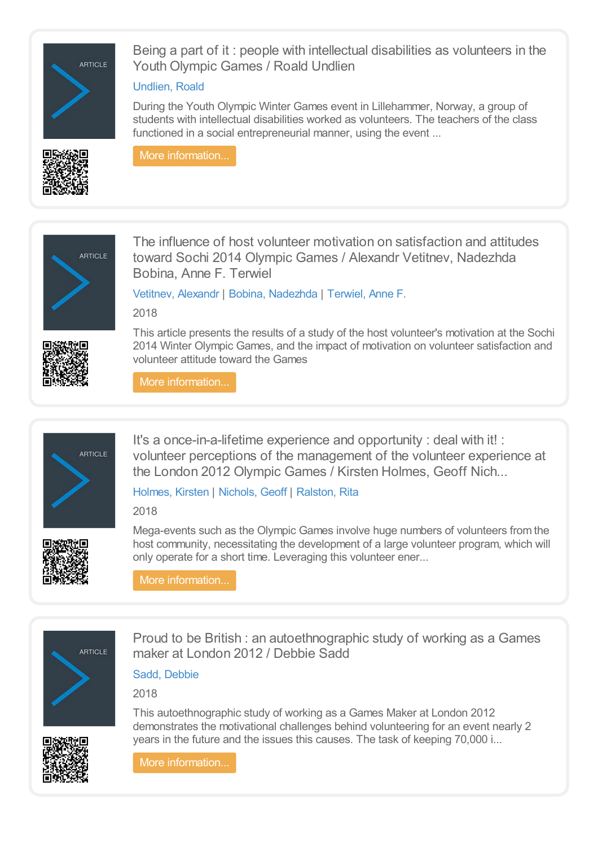

Being a part of it : people with intellectual disabilities as volunteers in the Youth Olympic Games / Roald Undlien

### [Undlien,](https://library.olympics.com/Default/search.aspx?SC=DEFAULT&QUERY=Authority_id_idx%253a171522&QUERY_LABEL=Undlien%252c+Roald) Roald

During the Youth Olympic Winter Games event in Lillehammer, Norway, a group of students with intellectual disabilities worked as volunteers. The teachers of the class functioned in a social entrepreneurial manner, using the event ...

More [information...](https://library.olympics.com/Default/doc/SYRACUSE/208846/being-a-part-of-it-people-with-intellectual-disabilities-as-volunteers-in-the-youth-olympic-games-ro)



The influence of host volunteer motivation on satisfaction and attitudes toward Sochi 2014 Olympic Games / Alexandr Vetitnev, Nadezhda Bobina, Anne F. Terwiel

[Vetitnev,](https://library.olympics.com/Default/search.aspx?SC=DEFAULT&QUERY=Authority_id_idx%253a174795&QUERY_LABEL=Vetitnev%252c+Alexandr) Alexandr | Bobina, [Nadezhda](https://library.olympics.com/Default/search.aspx?SC=DEFAULT&QUERY=Authority_id_idx%253a174796&QUERY_LABEL=Bobina%252c+Nadezhda) | [Terwiel,](https://library.olympics.com/Default/search.aspx?SC=DEFAULT&QUERY=Authority_id_idx%253a174797&QUERY_LABEL=Terwiel%252c+Anne+F.) Anne F.

2018



This article presents the results of a study of the host volunteer's motivation at the Sochi 2014 Winter Olympic Games, and the impact of motivation on volunteer satisfaction and volunteer attitude toward the Games

More [information...](https://library.olympics.com/Default/doc/SYRACUSE/174794/the-influence-of-host-volunteer-motivation-on-satisfaction-and-attitudes-toward-sochi-2014-olympic-g)



It's a once-in-a-lifetime experience and opportunity : deal with it! : volunteer perceptions of the management of the volunteer experience at the London 2012 Olympic Games / Kirsten Holmes, Geoff Nich...

# [Holmes,](https://library.olympics.com/Default/search.aspx?SC=DEFAULT&QUERY=Authority_id_idx%253a165908&QUERY_LABEL=Holmes%252c+Kirsten) Kirsten | [Nichols,](https://library.olympics.com/Default/search.aspx?SC=DEFAULT&QUERY=Authority_id_idx%253a174793&QUERY_LABEL=Nichols%252c+Geoff) Geoff | [Ralston,](https://library.olympics.com/Default/search.aspx?SC=DEFAULT&QUERY=Authority_id_idx%253a167385&QUERY_LABEL=Ralston%252c+Rita) Rita

2018



Mega-events such as the Olympic Games involve huge numbers of volunteers from the host community, necessitating the development of a large volunteer program, which will only operate for a short time. Leveraging this volunteer ener...

More [information...](https://library.olympics.com/Default/doc/SYRACUSE/174789/it-s-a-once-in-a-lifetime-experience-and-opportunity-deal-with-it-volunteer-perceptions-of-the-manag)



Proud to be British : an autoethnographic study of working as a Games maker at London 2012 / Debbie Sadd

Sadd, [Debbie](https://library.olympics.com/Default/search.aspx?SC=DEFAULT&QUERY=Authority_id_idx%253a174775&QUERY_LABEL=Sadd%252c+Debbie)

2018



This autoethnographic study of working as a Games Maker at London 2012 demonstrates the motivational challenges behind volunteering for an event nearly 2 years in the future and the issues this causes. The task of keeping 70,000 i...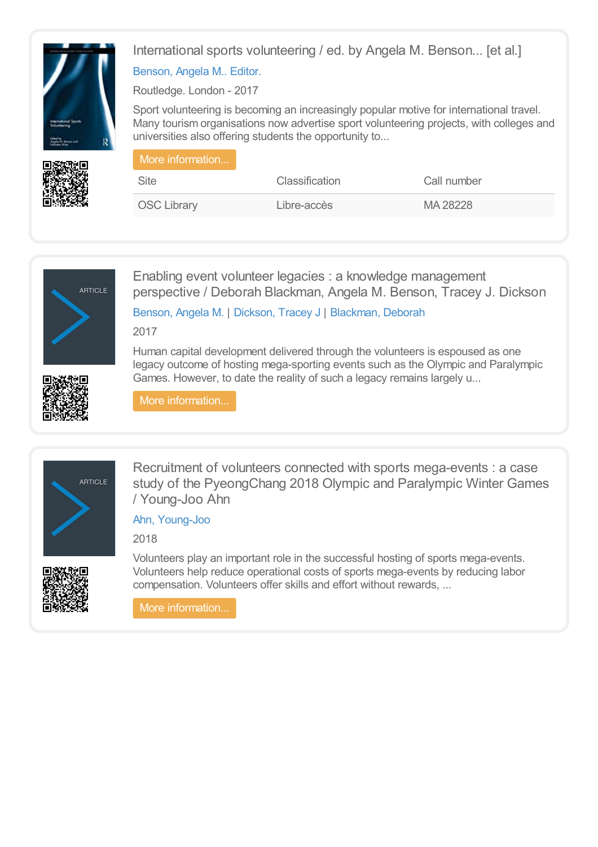



# [Benson,](https://library.olympics.com/Default/search.aspx?SC=DEFAULT&QUERY=Authority_id_idx%253a166364&QUERY_LABEL=Benson%252c+Angela+M..+Editor.) Angela M.. Editor.

Routledge. London - 2017

Sport volunteering is becoming an increasingly popular motive for international travel. Many tourism organisations now advertise sport volunteering projects, with colleges and universities also offering students the opportunity to...

| More information   |                       |             |
|--------------------|-----------------------|-------------|
| <b>Site</b>        | <b>Classification</b> | Call number |
| <b>OSC Library</b> | Libre-accès           | MA 28228    |



Enabling event volunteer legacies : a knowledge management perspective / Deborah Blackman, Angela M. Benson, Tracey J. Dickson

[Benson,](https://library.olympics.com/Default/search.aspx?SC=DEFAULT&QUERY=Authority_id_idx%253a166364&QUERY_LABEL=Benson%252c+Angela+M.) Angela M. | [Dickson,](https://library.olympics.com/Default/search.aspx?SC=DEFAULT&QUERY=Authority_id_idx%253a170937&QUERY_LABEL=Dickson%252c+Tracey+J) Tracey J | [Blackman,](https://library.olympics.com/Default/search.aspx?SC=DEFAULT&QUERY=Authority_id_idx%253a171579&QUERY_LABEL=Blackman%252c+Deborah) Deborah

2017

Human capital development delivered through the volunteers is espoused as one legacy outcome of hosting mega-sporting events such as the Olympic and Paralympic Games. However, to date the reality of such a legacy remains largely u...



More [information...](https://library.olympics.com/Default/doc/SYRACUSE/171576/enabling-event-volunteer-legacies-a-knowledge-management-perspective-deborah-blackman-angela-m-benso)



Recruitment of volunteers connected with sports mega-events : a case study of the PyeongChang 2018 Olympic and Paralympic Winter Games / Young-Joo Ahn

Ahn, [Young-Joo](https://library.olympics.com/Default/search.aspx?SC=DEFAULT&QUERY=Authority_id_idx%253a167662&QUERY_LABEL=Ahn%252c+Young-Joo)

2018



Volunteers play an important role in the successful hosting of sports mega-events. Volunteers help reduce operational costs of sports mega-events by reducing labor compensation. Volunteers offer skills and effort without rewards, ...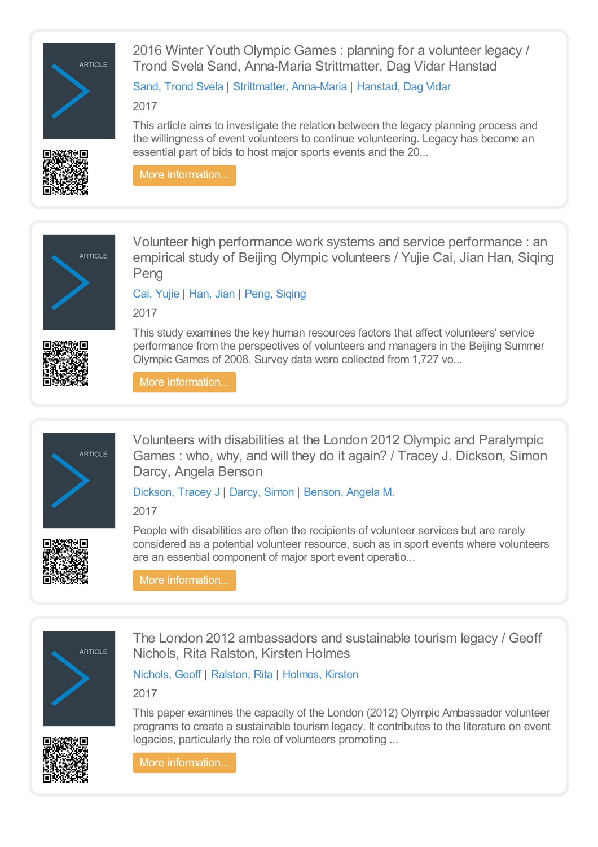

2016 Winter Youth Olympic Games : planning for a volunteer legacy / Trond Svela Sand, Anna-Maria Strittmatter, Dag Vidar Hanstad

Sand, [Trond](https://library.olympics.com/Default/search.aspx?SC=DEFAULT&QUERY=Authority_id_idx%253a171517&QUERY_LABEL=Sand%252c+Trond+Svela) Svela | [Strittmatter,](https://library.olympics.com/Default/search.aspx?SC=DEFAULT&QUERY=Authority_id_idx%253a171518&QUERY_LABEL=Strittmatter%252c+Anna-Maria) Anna-Maria | [Hanstad,](https://library.olympics.com/Default/search.aspx?SC=DEFAULT&QUERY=Authority_id_idx%253a156238&QUERY_LABEL=Hanstad%252c+Dag+Vidar) Dag Vidar

2017



This article aims to investigate the relation between the legacy planning process and the willingness of event volunteers to continue volunteering. Legacy has become an essential part of bids to host major sports events and the 20...

More [information...](https://library.olympics.com/Default/doc/SYRACUSE/171515/2016-winter-youth-olympic-games-planning-for-a-volunteer-legacy-trond-svela-sand-anna-maria-strittma)



Volunteer high performance work systems and service performance : an empirical study of Beijing Olympic volunteers / Yujie Cai, Jian Han, Siqing Peng

Cai, [Yujie](https://library.olympics.com/Default/search.aspx?SC=DEFAULT&QUERY=Authority_id_idx%253a167388&QUERY_LABEL=Cai%252c+Yujie) | [Han,](https://library.olympics.com/Default/search.aspx?SC=DEFAULT&QUERY=Authority_id_idx%253a167389&QUERY_LABEL=Han%252c+Jian) Jian | Peng, [Siqing](https://library.olympics.com/Default/search.aspx?SC=DEFAULT&QUERY=Authority_id_idx%253a167390&QUERY_LABEL=Peng%252c+Siqing)

2017



This study examines the key human resources factors that affect volunteers' service performance from the perspectives of volunteers and managers in the Beijing Summer Olympic Games of 2008. Survey data were collected from 1,727 vo...

More [information...](https://library.olympics.com/Default/doc/SYRACUSE/167386/volunteer-high-performance-work-systems-and-service-performance-an-empirical-study-of-beijing-olympi)



Volunteers with disabilities at the London 2012 Olympic and Paralympic Games : who, why, and will they do it again? / Tracey J. Dickson, Simon Darcy, Angela Benson

# [Dickson,](https://library.olympics.com/Default/search.aspx?SC=DEFAULT&QUERY=Authority_id_idx%253a170937&QUERY_LABEL=Dickson%252c+Tracey+J) Tracey J | [Darcy,](https://library.olympics.com/Default/search.aspx?SC=DEFAULT&QUERY=Authority_id_idx%253a165140&QUERY_LABEL=Darcy%252c+Simon) Simon | [Benson,](https://library.olympics.com/Default/search.aspx?SC=DEFAULT&QUERY=Authority_id_idx%253a166364&QUERY_LABEL=Benson%252c+Angela+M.) Angela M.

2017



People with disabilities are often the recipients of volunteer services but are rarely considered as a potential volunteer resource, such as in sport events where volunteers are an essential component of major sport event operatio...

More [information...](https://library.olympics.com/Default/doc/SYRACUSE/170936/volunteers-with-disabilities-at-the-london-2012-olympic-and-paralympic-games-who-why-and-will-they-d)



The London 2012 ambassadors and sustainable tourism legacy / Geoff Nichols, Rita Ralston, Kirsten Holmes

[Nichols,](https://library.olympics.com/Default/search.aspx?SC=DEFAULT&QUERY=Authority_id_idx%253a66328&QUERY_LABEL=Nichols%252c+Geoff) Geoff | [Ralston,](https://library.olympics.com/Default/search.aspx?SC=DEFAULT&QUERY=Authority_id_idx%253a167385&QUERY_LABEL=Ralston%252c+Rita) Rita | [Holmes,](https://library.olympics.com/Default/search.aspx?SC=DEFAULT&QUERY=Authority_id_idx%253a165908&QUERY_LABEL=Holmes%252c+Kirsten) Kirsten

2017



This paper examines the capacity of the London (2012) Olympic Ambassador volunteer programs to create a sustainable tourism legacy. It contributes to the literature on event legacies, particularly the role of volunteers promoting ...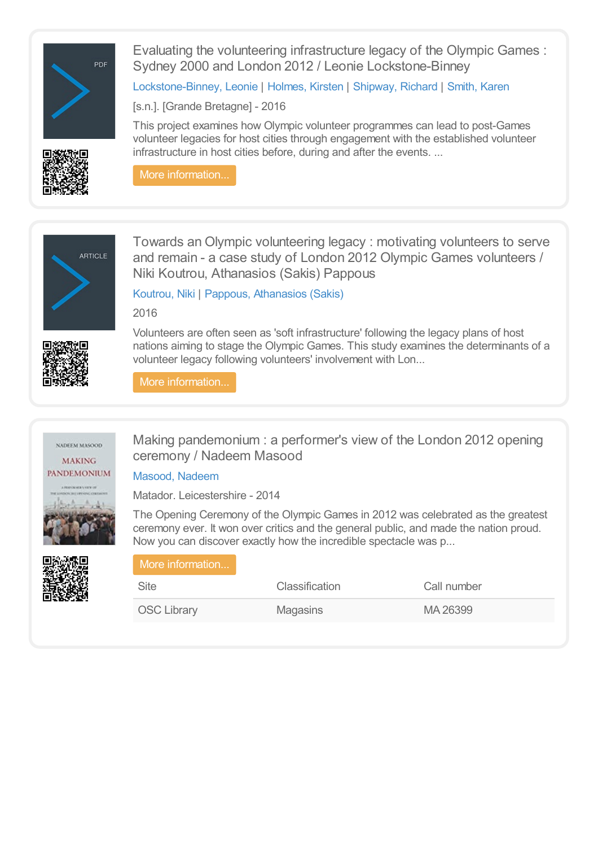

Evaluating the volunteering infrastructure legacy of the Olympic Games : Sydney 2000 and London 2012 / Leonie Lockstone-Binney

[Lockstone-Binney,](https://library.olympics.com/Default/search.aspx?SC=DEFAULT&QUERY=Authority_id_idx%253a165798&QUERY_LABEL=Lockstone-Binney%252c+Leonie) Leonie | [Holmes,](https://library.olympics.com/Default/search.aspx?SC=DEFAULT&QUERY=Authority_id_idx%253a165908&QUERY_LABEL=Holmes%252c+Kirsten) Kirsten | [Shipway,](https://library.olympics.com/Default/search.aspx?SC=DEFAULT&QUERY=Authority_id_idx%253a72662&QUERY_LABEL=Shipway%252c+Richard) Richard | [Smith,](https://library.olympics.com/Default/search.aspx?SC=DEFAULT&QUERY=Authority_id_idx%253a155793&QUERY_LABEL=Smith%252c+Karen) Karen

[s.n.]. [Grande Bretagne] - 2016

This project examines how Olympic volunteer programmes can lead to post-Games volunteer legacies for host cities through engagement with the established volunteer infrastructure in host cities before, during and after the events. ...





**ARTICLE** 



Towards an Olympic volunteering legacy : motivating volunteers to serve and remain - a case study of London 2012 Olympic Games volunteers / Niki Koutrou, Athanasios (Sakis) Pappous

[Koutrou,](https://library.olympics.com/Default/search.aspx?SC=DEFAULT&QUERY=Authority_id_idx%253a174107&QUERY_LABEL=Koutrou%252c+Niki) Niki | Pappous, [Athanasios](https://library.olympics.com/Default/search.aspx?SC=DEFAULT&QUERY=Authority_id_idx%253a174108&QUERY_LABEL=Pappous%252c+Athanasios+(Sakis)) (Sakis)

2016

Volunteers are often seen as 'soft infrastructure' following the legacy plans of host nations aiming to stage the Olympic Games. This study examines the determinants of a volunteer legacy following volunteers' involvement with Lon...

More [information...](https://library.olympics.com/Default/doc/SYRACUSE/174106/towards-an-olympic-volunteering-legacy-motivating-volunteers-to-serve-and-remain-a-case-study-of-lon)





Making pandemonium : a performer's view of the London 2012 opening ceremony / Nadeem Masood

### [Masood,](https://library.olympics.com/Default/search.aspx?SC=DEFAULT&QUERY=Authority_id_idx%253a59340&QUERY_LABEL=Masood%252c+Nadeem) Nadeem

Matador. Leicestershire - 2014

The Opening Ceremony of the Olympic Games in 2012 was celebrated as the greatest ceremony ever. It won over critics and the general public, and made the nation proud. Now you can discover exactly how the incredible spectacle was p...

# More [information...](https://library.olympics.com/Default/doc/SYRACUSE/59339/making-pandemonium-a-performer-s-view-of-the-london-2012-opening-ceremony-nadeem-masood) Site Classification Classification Call number

OSC Library Magasins MA 26399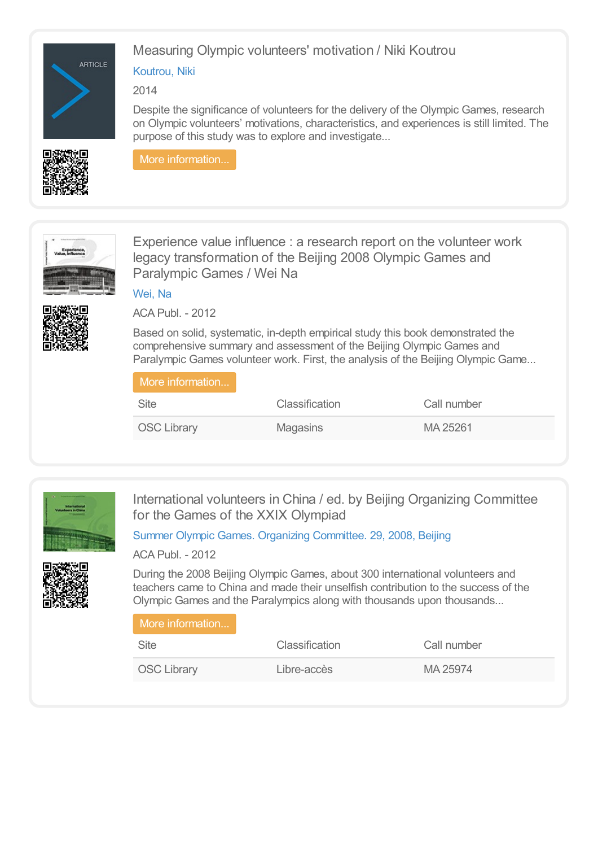



# Measuring Olympic volunteers' motivation / Niki Koutrou

# [Koutrou,](https://library.olympics.com/Default/search.aspx?SC=DEFAULT&QUERY=Authority_id_idx%253a174107&QUERY_LABEL=Koutrou%252c+Niki) Niki

2014

Despite the significance of volunteers for the delivery of the Olympic Games, research on Olympic volunteers' motivations, characteristics, and experiences is still limited. The purpose of this study was to explore and investigate...

More [information...](https://library.olympics.com/Default/doc/SYRACUSE/185408/measuring-olympic-volunteers-motivation-niki-koutrou)



Experience value influence : a research report on the volunteer work legacy transformation of the Beijing 2008 Olympic Games and Paralympic Games / Wei Na

[Wei,](https://library.olympics.com/Default/search.aspx?SC=DEFAULT&QUERY=Authority_id_idx%253a69474&QUERY_LABEL=Wei%252c+Na) Na

ACA Publ. - 2012

Based on solid, systematic, in-depth empirical study this book demonstrated the comprehensive summary and assessment of the Beijing Olympic Games and Paralympic Games volunteer work. First, the analysis of the Beijing Olympic Game...

| More information   |                       |             |  |
|--------------------|-----------------------|-------------|--|
| <b>Site</b>        | <b>Classification</b> | Call number |  |
| <b>OSC Library</b> | Magasins              | MA 25261    |  |



International volunteers in China / ed. by Beijing Organizing Committee for the Games of the XXIX Olympiad

Summer Olympic Games. Organizing [Committee.](https://library.olympics.com/Default/search.aspx?SC=DEFAULT&QUERY=Authority_id_idx%253a284&QUERY_LABEL=Summer+Olympic+Games.+Organizing+Committee.+29%252c+2008%252c+Beijing) 29, 2008, Beijing



ACA Publ. - 2012

During the 2008 Beijing Olympic Games, about 300 international volunteers and teachers came to China and made their unselfish contribution to the success of the Olympic Games and the Paralympics along with thousands upon thousands...

| More information   |                |             |  |
|--------------------|----------------|-------------|--|
| <b>Site</b>        | Classification | Call number |  |
| <b>OSC Library</b> | Libre-accès    | MA 25974    |  |